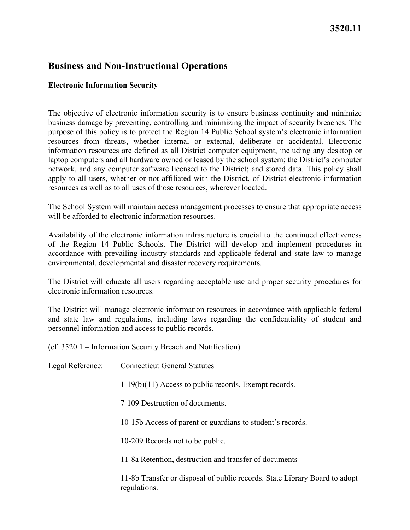## **Business and Non-Instructional Operations**

## **Electronic Information Security**

The objective of electronic information security is to ensure business continuity and minimize business damage by preventing, controlling and minimizing the impact of security breaches. The purpose of this policy is to protect the Region 14 Public School system's electronic information resources from threats, whether internal or external, deliberate or accidental. Electronic information resources are defined as all District computer equipment, including any desktop or laptop computers and all hardware owned or leased by the school system; the District's computer network, and any computer software licensed to the District; and stored data. This policy shall apply to all users, whether or not affiliated with the District, of District electronic information resources as well as to all uses of those resources, wherever located.

The School System will maintain access management processes to ensure that appropriate access will be afforded to electronic information resources.

 environmental, developmental and disaster recovery requirements. Availability of the electronic information infrastructure is crucial to the continued effectiveness of the Region 14 Public Schools. The District will develop and implement procedures in accordance with prevailing industry standards and applicable federal and state law to manage

The District will educate all users regarding acceptable use and proper security procedures for electronic information resources.

 personnel information and access to public records. The District will manage electronic information resources in accordance with applicable federal and state law and regulations, including laws regarding the confidentiality of student and

(cf. 3520.1 – Information Security Breach and Notification)

| Legal Reference: | <b>Connecticut General Statutes</b>                                                        |
|------------------|--------------------------------------------------------------------------------------------|
|                  | $1-19(b)(11)$ Access to public records. Exempt records.                                    |
|                  | 7-109 Destruction of documents.                                                            |
|                  | 10-15b Access of parent or guardians to student's records.                                 |
|                  | 10-209 Records not to be public.                                                           |
|                  | 11-8a Retention, destruction and transfer of documents                                     |
|                  | 11-8b Transfer or disposal of public records. State Library Board to adopt<br>regulations. |